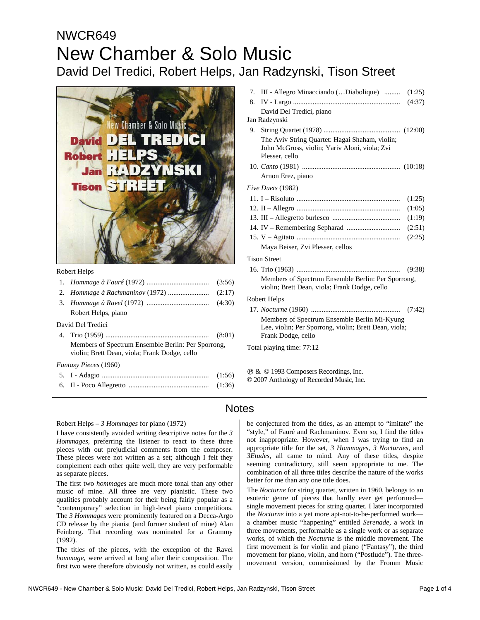# NWCR649 New Chamber & Solo Music David Del Tredici, Robert Helps, Jan Radzynski, Tison Street



#### Robert Helps

| Robert Helps, piano |  |
|---------------------|--|
| David Del Tredici   |  |

4. Trio (1959) .......................................................... (8:01) Members of Spectrum Ensemble Berlin: Per Sporrong, violin; Brett Dean, viola; Frank Dodge, cello

*Fantasy Pieces* (1960)

|  | (1:36) |
|--|--------|

|    | 7. III - Allegro Minacciando (Diabolique)  (1:25)                                                   |        |
|----|-----------------------------------------------------------------------------------------------------|--------|
| 8. |                                                                                                     |        |
|    | David Del Tredici, piano                                                                            |        |
|    | Jan Radzynski                                                                                       |        |
|    |                                                                                                     |        |
|    | The Aviv String Quartet: Hagai Shaham, violin;                                                      |        |
|    | John McGross, violin; Yariv Aloni, viola; Zvi                                                       |        |
|    | Plesser, cello                                                                                      |        |
|    |                                                                                                     |        |
|    | Arnon Erez, piano                                                                                   |        |
|    | Five Duets (1982)                                                                                   |        |
|    |                                                                                                     | (1:25) |
|    |                                                                                                     | (1:05) |
|    |                                                                                                     | (1:19) |
|    |                                                                                                     | (2:51) |
|    |                                                                                                     | (2:25) |
|    | Maya Beiser, Zvi Plesser, cellos                                                                    |        |
|    | <b>Tison Street</b>                                                                                 |        |
|    |                                                                                                     | (9:38) |
|    | Members of Spectrum Ensemble Berlin: Per Sporrong,<br>violin; Brett Dean, viola; Frank Dodge, cello |        |
|    | Robert Helps                                                                                        |        |
|    |                                                                                                     |        |
|    | Members of Spectrum Ensemble Berlin Mi-Kyung                                                        |        |
|    | Lee, violin; Per Sporrong, violin; Brett Dean, viola;                                               |        |
|    | Frank Dodge, cello                                                                                  |        |
|    | Total playing time: 77:12                                                                           |        |
|    |                                                                                                     |        |
|    |                                                                                                     |        |

Ê & © 1993 Composers Recordings, Inc.

© 2007 Anthology of Recorded Music, Inc.

### Notes

#### Robert Helps – *3 Hommages* for piano (1972)

I have consistently avoided writing descriptive notes for the *3 Hommages,* preferring the listener to react to these three pieces with out prejudicial comments from the composer. These pieces were not written as a set; although I felt they complement each other quite well, they are very performable as separate pieces.

The first two *hommages* are much more tonal than any other music of mine. All three are very pianistic. These two qualities probably account for their being fairly popular as a "contemporary" selection in high-level piano competitions. The *3 Hommages* were prominently featured on a Decca-Argo CD release by the pianist (and former student of mine) Alan Feinberg. That recording was nominated for a Grammy (1992).

The titles of the pieces, with the exception of the Ravel *hommage*, were arrived at long after their composition. The first two were therefore obviously not written, as could easily

be conjectured from the titles, as an attempt to "imitate" the "style," of Fauré and Rachmaninov. Even so, I find the titles not inappropriate. However, when I was trying to find an appropriate title for the set, *3 Hommages, 3 Nocturnes*, and *3Etudes,* all came to mind. Any of these titles, despite seeming contradictory, still seem appropriate to me. The combination of all three titles describe the nature of the works better for me than any one title does.

The *Nocturne* for string quartet, written in 1960, belongs to an esoteric genre of pieces that hardly ever get performed single movement pieces for string quartet. I later incorporated the *Nocturne* into a yet more apt-not-to-be-performed work a chamber music "happening" entitled *Serenade,* a work in three movements, performable as a single work or as separate works, of which the *Nocturne* is the middle movement. The first movement is for violin and piano ("Fantasy"), the third movement for piano, violin, and horn ("Postlude"). The threemovement version, commissioned by the Fromm Music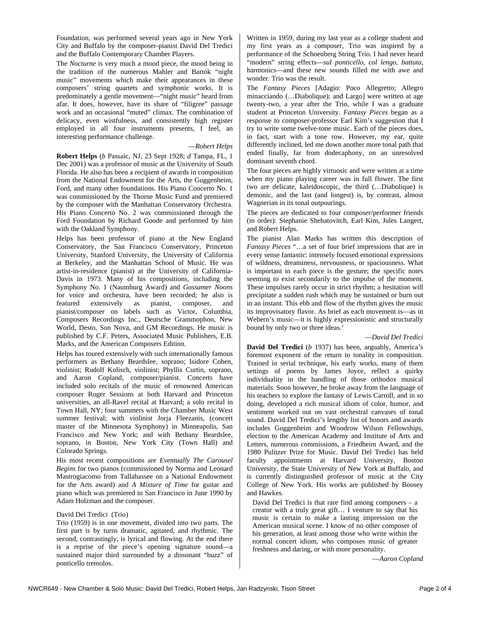Foundation, was performed several years ago in New York City and Buffalo by the composer-pianist David Del Tredici and the Buffalo Contemporary Chamber Players.

The *Nocturne* is very much a mood piece, the mood being in the tradition of the numerous Mahler and Bartók "night music" movements which make their appearances in these composers' string quartets and symphonic works. It is predominately a gentle movement—"night music" heard from afar. It does, however, have its share of "filigree" passage work and an occasional "muted" climax. The combination of delicacy, even wistfulness, and consistently high register employed in all four instruments presents, I feel, an interesting performance challenge.

#### —*Robert Helps*

**Robert Helps** (*b* Passaic, NJ, 23 Sept 1928; *d* Tampa, FL, 1 Dec 2001) was a professor of music at the University of South Florida. He also has been a recipient of awards in composition from the National Endowment for the Arts, the Guggenheim, Ford, and many other foundations. His Piano Concerto No. 1 was commissioned by the Thorne Music Fund and premiered by the composer with the Manhattan Conservatory Orchestra. His Piano Concerto No. 2 was commissioned through the Ford Foundation by Richard Goode and performed by him with the Oakland Symphony.

Helps has been professor of piano at the New England Conservatory, the San Francisco Conservatory, Princeton University, Stanford University, the University of California at Berkeley, and the Manhattan School of Music. He was artist-in-residence (pianist) at the University of California-Davis in 1973. Many of his compositions, including the Symphony No. 1 (Naumburg Award) and *Gossamer Noons* for voice and orchestra, have been recorded; he also is featured extensively as pianist, composer, and pianist/composer on labels such as Victor, Columbia, Composers Recordings Inc., Deutsche Grammophon, New World, Desto, Son Nova, and GM Recordings. He music is published by C.F. Peters, Associated Music Publishers, E.B. Marks, and the American Composers Edition.

Helps has toured extensively with such internationally famous performers as Bethany Beardslee, soprano; Isidore Cohen, violinist; Rudolf Kolisch, violinist; Phyllis Curtin, soprano, and Aaron Copland, composer/pianist. Concerts have included solo recitals of the music of renowned American composer Roger Sessions at both Harvard and Princeton universities, an all-Ravel recital at Harvard; a solo recital in Town Hall, NY; four summers with the Chamber Music West summer festival; with violinist Jorja Fleezanis, (concert master of the Minnesota Symphony) in Minneapolis, San Francisco and New York; and with Bethany Beardslee, soprano, in Boston, New York City (Town Hall) and Colorado Springs.

His most recent compositions are *Eventually The Carousel Begins* for two pianos (commissioned by Norma and Leonard Mastrogiacomo from Tallahassee on a National Endowment for the Arts award) and *A Mixture of Time* for guitar and piano which was premiered in San Francisco in June 1990 by Adam Holzman and the composer.

#### David Del Tredici (Trio)

Trio (1959) is in one movement, divided into two parts. The first part is by turns dramatic, agitated, and rhythmic. The second, contrastingly, is lyrical and flowing. At the end there is a reprise of the piece's opening signature sound—a sustained major third surrounded by a dissonant "buzz" of ponticello tremolos.

Written in 1959, during my last year as a college student and my first years as a composer, Trio was inspired by a performance of the Schoenberg String Trio. I had never heard "modern" string effects—*sul ponticello, col lengo, battuta*, harmonics—and these new sounds filled me with awe and wonder. Trio was the result.

The *Fantasy Pieces* [Adagio: Poco Allegretto; Allegro minacciando (…Diabolique); and Largo] were written at age twenty-two, a year after the Trio, while I was a graduate student at Princeton University. *Fantasy Pieces* began as a response to composer-professor Earl Kim's suggestion that I try to write some twelve-tone music. Each of the pieces does, in fact, start with a tone row. However, my ear, quite differently inclined, led me down another more tonal path that ended finally, far from dodecaphony, on an unresolved dominant seventh chord.

The four pieces are highly virtuosic and were written at a time when my piano playing career was in full flower. The first two are delicate, kaleidoscopic, the third (…Diabolique) is demonic, and the last (and longest) is, by contrast, almost Wagnerian in its tonal outpourings.

The pieces are dedicated to four composer/performer friends (in order): Stephanie Shehatovitch, Earl Kim, Jules Langert, and Robert Helps.

The pianist Alan Marks has written this description of *Fantasy Pieces* "…a set of four brief impressions that are in every sense fantastic: intensely focused emotional expressions of wildness, dreaminess, nervousness, or spaciousness. What is important in each piece is the gesture; the specific notes seeming to exist secondarily to the impulse of the moment. These impulses rarely occur in strict rhythm; a hesitation will precipitate a sudden rush which may be sustained or burn out in an instant. This ebb and flow of the rhythm gives the music its improvisatory flavor. As brief as each movement is—as in Webern's music—it is highly expressionistic and structurally bound by only two or three ideas.'

#### —*David Del Tredici*

**David Del Tredici** (*b* 1937) has been, arguably, America's foremost exponent of the return to tonality in composition. Trained in serial technique, his early works, many of them settings of poems by James Joyce, reflect a quirky individuality in the handling of those orthodox musical materials. Soon however, he broke away from the language of his teachers to explore the fantasy of Lewis Carroll, and in so doing, developed a rich musical idiom of color, humor, and sentiment worked out on vast orchestral canvases of tonal sound. David Del Tredici's lengthy list of honors and awards includes Guggenheim and Woodrow Wilson Fellowships, election to the American Academy and Institute of Arts and Letters, numerous commissions, a Friedheim Award, and the 1980 Pulitzer Prize for Music. David Del Tredici has held faculty appointments at Harvard University, Boston University, the State University of New York at Buffalo, and is currently distinguished professor of music at the City College of New York. His works are published by Boosey and Hawkes.

David Del Tredici is that rare find among composers – a creator with a truly great gift… I venture to say that his music is certain to make a lasting impression on the American musical scene. I know of no other composer of his generation, at least among those who write within the normal concert idiom, who composes music of greater freshness and daring, or with more personality.

—*Aaron Copland*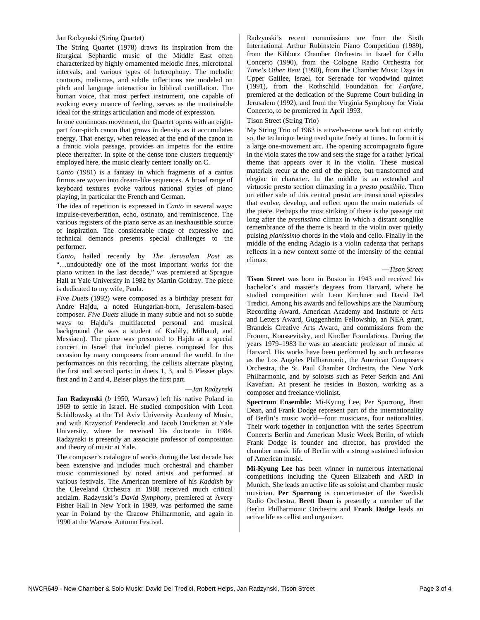#### Jan Radzynski (String Quartet)

The String Quartet (1978) draws its inspiration from the liturgical Sephardic music of the Middle East often characterized by highly ornamented melodic lines, microtonal intervals, and various types of heterophony. The melodic contours, melismas, and subtle inflections are modeled on pitch and language interaction in biblical cantillation. The human voice, that most perfect instrument, one capable of evoking every nuance of feeling, serves as the unattainable ideal for the strings articulation and mode of expression.

In one continuous movement, the Quartet opens with an eightpart four-pitch canon that grows in density as it accumulates energy. That energy, when released at the end of the canon in a frantic viola passage, provides an impetus for the entire piece thereafter. In spite of the dense tone clusters frequently employed here, the music clearly centers tonally on C.

*Canto* (1981) is a fantasy in which fragments of a cantus firmus are woven into dream-like sequences. A broad range of keyboard textures evoke various national styles of piano playing, in particular the French and German.

The idea of repetition is expressed in *Canto* in several ways: impulse-reverberation, echo, ostinato, and reminiscence. The various registers of the piano serve as an inexhaustible source of inspiration. The considerable range of expressive and technical demands presents special challenges to the performer.

*Canto,* hailed recently by *The Jerusalem Post* as "…undoubtedly one of the most important works for the piano written in the last decade," was premiered at Sprague Hall at Yale University in 1982 by Martin Goldray. The piece is dedicated to my wife, Paula.

*Five Duets* (1992) were composed as a birthday present for Andre Hajdu, a noted Hungarian-born, Jerusalem-based composer. *Five Duets* allude in many subtle and not so subtle ways to Hajdu's multifaceted personal and musical background (he was a student of Kodály, Milhaud, and Messiaen). The piece was presented to Hajdu at a special concert in Israel that included pieces composed for this occasion by many composers from around the world. In the performances on this recording, the cellists alternate playing the first and second parts: in duets 1, 3, and 5 Plesser plays first and in 2 and 4, Beiser plays the first part.

#### —*Jan Radzynski*

**Jan Radzynski** (*b* 1950, Warsaw) left his native Poland in 1969 to settle in Israel. He studied composition with Leon Schidlowsky at the Tel Aviv University Academy of Music, and with Krzysztof Penderecki and Jacob Druckman at Yale University, where he received his doctorate in 1984. Radzynski is presently an associate professor of composition and theory of music at Yale.

The composer's catalogue of works during the last decade has been extensive and includes much orchestral and chamber music commissioned by noted artists and performed at various festivals. The American premiere of his *Kaddish* by the Cleveland Orchestra in 1988 received much critical acclaim. Radzynski's *David Symphony*, premiered at Avery Fisher Hall in New York in 1989, was performed the same year in Poland by the Cracow Philharmonic, and again in 1990 at the Warsaw Autumn Festival.

Radzynski's recent commissions are from the Sixth International Arthur Rubinstein Piano Competition (1989), from the Kibbutz Chamber Orchestra in Israel for Cello Concerto (1990), from the Cologne Radio Orchestra for *Time's Other Beat* (1990), from the Chamber Music Days in Upper Galilee, Israel, for Serenade for woodwind quintet (1991), from the Rothschild Foundation for *Fanfare,* premiered at the dedication of the Supreme Court building in Jerusalem (1992), and from the Virginia Symphony for Viola Concerto, to be premiered in April 1993.

#### Tison Street (String Trio)

My String Trio of 1963 is a twelve-tone work but not strictly so, the technique being used quite freely at times. In form it is a large one-movement arc. The opening accompagnato figure in the viola states the row and sets the stage for a rather lyrical theme that appears over it in the violin. These musical materials recur at the end of the piece, but transformed and elegiac in character. In the middle is an extended and virtuosic presto section climaxing in a *presto possibile*. Then on either side of this central presto are transitional episodes that evolve, develop, and reflect upon the main materials of the piece. Perhaps the most striking of these is the passage not long after the *prestissimo* climax in which a distant songlike remembrance of the theme is heard in the violin over quietly pulsing *pianissimo* chords in the viola and cello. Finally in the middle of the ending Adagio is a violin cadenza that perhaps reflects in a new context some of the intensity of the central climax.

#### —*Tison Street*

**Tison Street** was born in Boston in 1943 and received his bachelor's and master's degrees from Harvard, where he studied composition with Leon Kirchner and David Del Tredici. Among his awards and fellowships are the Naumburg Recording Award, American Academy and Institute of Arts and Letters Award, Guggenheim Fellowship, an NEA grant, Brandeis Creative Arts Award, and commissions from the Fromm, Koussevitsky, and Kindler Foundations. During the years 1979–1983 he was an associate professor of music at Harvard. His works have been performed by such orchestras as the Los Angeles Philharmonic, the American Composers Orchestra, the St. Paul Chamber Orchestra, the New York Philharmonic, and by soloists such as Peter Serkin and Ani Kavafian. At present he resides in Boston, working as a composer and freelance violinist.

**Spectrum Ensemble:** Mi-Kyung Lee, Per Sporrong, Brett Dean, and Frank Dodge represent part of the internationality of Berlin's music world—four musicians, four nationalities. Their work together in conjunction with the series Spectrum Concerts Berlin and American Music Week Berlin, of which Frank Dodge is founder and director, has provided the chamber music life of Berlin with a strong sustained infusion of American music**.** 

**Mi-Kyung Lee** has been winner in numerous international competitions including the Queen Elizabeth and ARD in Munich. She leads an active life as soloist and chamber music musician. **Per Sporrong** is concertmaster of the Swedish Radio Orchestra. **Brett Dean** is presently a member of the Berlin Philharmonic Orchestra and **Frank Dodge** leads an active life as cellist and organizer.